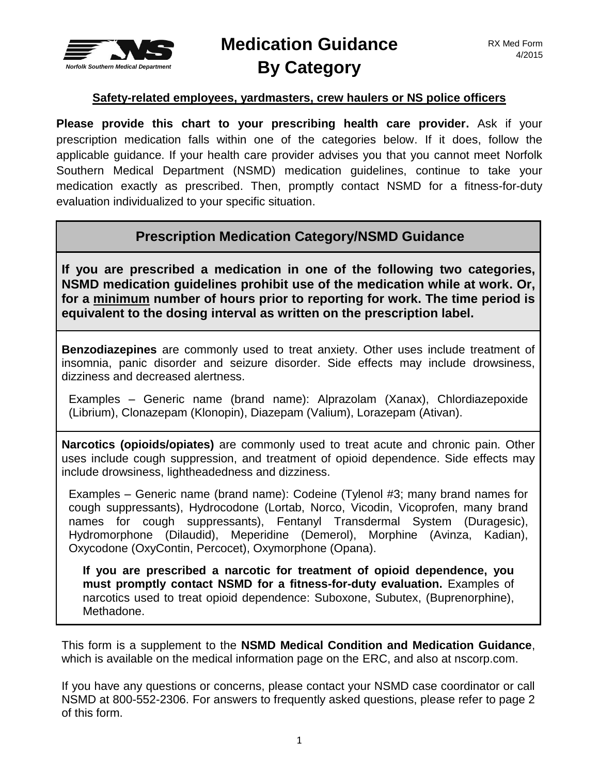

## **Medication Guidance By Category**

## **Safety-related employees, yardmasters, crew haulers or NS police officers**

**Please provide this chart to your prescribing health care provider.** Ask if your prescription medication falls within one of the categories below. If it does, follow the applicable guidance. If your health care provider advises you that you cannot meet Norfolk Southern Medical Department (NSMD) medication guidelines, continue to take your medication exactly as prescribed. Then, promptly contact NSMD for a fitness-for-duty evaluation individualized to your specific situation.

## **Prescription Medication Category/NSMD Guidance**

**If you are prescribed a medication in one of the following two categories, NSMD medication guidelines prohibit use of the medication while at work. Or, for a minimum number of hours prior to reporting for work. The time period is equivalent to the dosing interval as written on the prescription label.**

**Benzodiazepines** are commonly used to treat anxiety. Other uses include treatment of insomnia, panic disorder and seizure disorder. Side effects may include drowsiness, dizziness and decreased alertness.

Examples – Generic name (brand name): Alprazolam (Xanax), Chlordiazepoxide (Librium), Clonazepam (Klonopin), Diazepam (Valium), Lorazepam (Ativan).

**Narcotics (opioids/opiates)** are commonly used to treat acute and chronic pain. Other uses include cough suppression, and treatment of opioid dependence. Side effects may include drowsiness, lightheadedness and dizziness.

Examples – Generic name (brand name): Codeine (Tylenol #3; many brand names for cough suppressants), Hydrocodone (Lortab, Norco, Vicodin, Vicoprofen, many brand names for cough suppressants), Fentanyl Transdermal System (Duragesic), Hydromorphone (Dilaudid), Meperidine (Demerol), Morphine (Avinza, Kadian), Oxycodone (OxyContin, Percocet), Oxymorphone (Opana).

**If you are prescribed a narcotic for treatment of opioid dependence, you must promptly contact NSMD for a fitness-for-duty evaluation.** Examples of narcotics used to treat opioid dependence: Suboxone, Subutex, (Buprenorphine), Methadone.

This form is a supplement to the **NSMD Medical Condition and Medication Guidance**, which is available on the medical information page on the ERC, and also at nscorp.com.

If you have any questions or concerns, please contact your NSMD case coordinator or call NSMD at 800-552-2306. For answers to frequently asked questions, please refer to page 2 of this form.